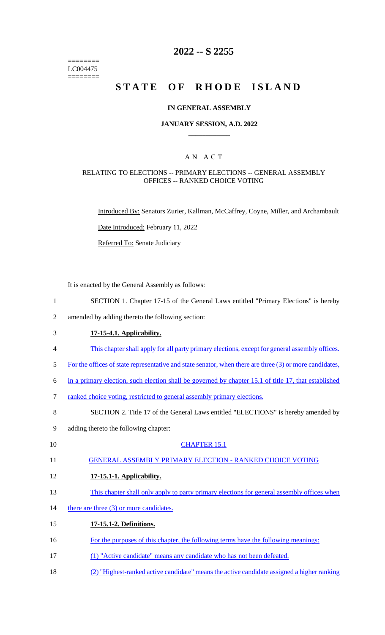======== LC004475 ========

# **2022 -- S 2255**

# **STATE OF RHODE ISLAND**

### **IN GENERAL ASSEMBLY**

### **JANUARY SESSION, A.D. 2022 \_\_\_\_\_\_\_\_\_\_\_\_**

### A N A C T

### RELATING TO ELECTIONS -- PRIMARY ELECTIONS -- GENERAL ASSEMBLY OFFICES -- RANKED CHOICE VOTING

Introduced By: Senators Zurier, Kallman, McCaffrey, Coyne, Miller, and Archambault

Date Introduced: February 11, 2022

Referred To: Senate Judiciary

It is enacted by the General Assembly as follows:

- 1 SECTION 1. Chapter 17-15 of the General Laws entitled "Primary Elections" is hereby
- 2 amended by adding thereto the following section:
- 3 **17-15-4.1. Applicability.**
- 4 This chapter shall apply for all party primary elections, except for general assembly offices.
- 5 For the offices of state representative and state senator, when there are three (3) or more candidates,
- 6 in a primary election, such election shall be governed by chapter 15.1 of title 17, that established
- 7 ranked choice voting, restricted to general assembly primary elections.
- 8 SECTION 2. Title 17 of the General Laws entitled "ELECTIONS" is hereby amended by
- 9 adding thereto the following chapter:
- 10 CHAPTER 15.1 11 GENERAL ASSEMBLY PRIMARY ELECTION - RANKED CHOICE VOTING 12 **17-15.1-1. Applicability.**  13 This chapter shall only apply to party primary elections for general assembly offices when 14 there are three (3) or more candidates. 15 **17-15.1-2. Definitions.**  16 For the purposes of this chapter, the following terms have the following meanings:
- 17 (1) "Active candidate" means any candidate who has not been defeated.
- 18 (2) "Highest-ranked active candidate" means the active candidate assigned a higher ranking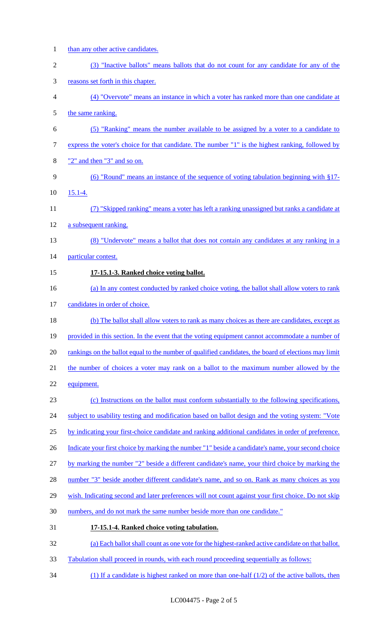- 1 than any other active candidates. (3) "Inactive ballots" means ballots that do not count for any candidate for any of the reasons set forth in this chapter. (4) "Overvote" means an instance in which a voter has ranked more than one candidate at 5 the same ranking. (5) "Ranking" means the number available to be assigned by a voter to a candidate to express the voter's choice for that candidate. The number "1" is the highest ranking, followed by "2" and then "3" and so on. (6) "Round" means an instance of the sequence of voting tabulation beginning with §17- 15.1-4. (7) "Skipped ranking" means a voter has left a ranking unassigned but ranks a candidate at a subsequent ranking. (8) "Undervote" means a ballot that does not contain any candidates at any ranking in a particular contest. **17-15.1-3. Ranked choice voting ballot.**  (a) In any contest conducted by ranked choice voting, the ballot shall allow voters to rank 17 candidates in order of choice. (b) The ballot shall allow voters to rank as many choices as there are candidates, except as 19 provided in this section. In the event that the voting equipment cannot accommodate a number of rankings on the ballot equal to the number of qualified candidates, the board of elections may limit the number of choices a voter may rank on a ballot to the maximum number allowed by the equipment. (c) Instructions on the ballot must conform substantially to the following specifications, 24 subject to usability testing and modification based on ballot design and the voting system: "Vote by indicating your first-choice candidate and ranking additional candidates in order of preference. 26 Indicate your first choice by marking the number "1" beside a candidate's name, your second choice by marking the number "2" beside a different candidate's name, your third choice by marking the number "3" beside another different candidate's name, and so on. Rank as many choices as you 29 wish. Indicating second and later preferences will not count against your first choice. Do not skip 30 numbers, and do not mark the same number beside more than one candidate." **17-15.1-4. Ranked choice voting tabulation.**  (a) Each ballot shall count as one vote for the highest-ranked active candidate on that ballot. Tabulation shall proceed in rounds, with each round proceeding sequentially as follows:
- 34 (1) If a candidate is highest ranked on more than one-half  $(1/2)$  of the active ballots, then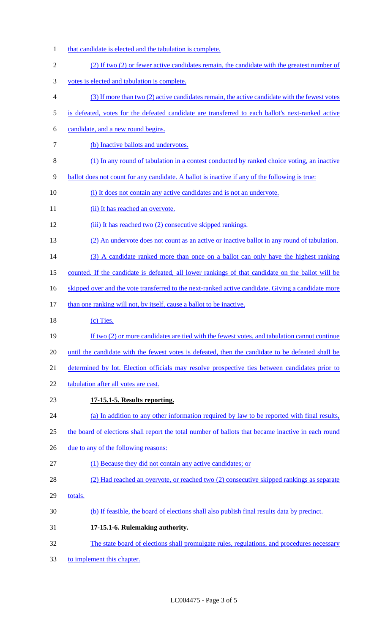- that candidate is elected and the tabulation is complete.
- (2) If two (2) or fewer active candidates remain, the candidate with the greatest number of
- votes is elected and tabulation is complete.
- (3) If more than two (2) active candidates remain, the active candidate with the fewest votes
- is defeated, votes for the defeated candidate are transferred to each ballot's next-ranked active
- candidate, and a new round begins.
- 7 (b) Inactive ballots and undervotes.
- (1) In any round of tabulation in a contest conducted by ranked choice voting, an inactive
- ballot does not count for any candidate. A ballot is inactive if any of the following is true:
- (i) It does not contain any active candidates and is not an undervote.
- 11 (ii) It has reached an overvote.
- 12 (iii) It has reached two (2) consecutive skipped rankings.
- (2) An undervote does not count as an active or inactive ballot in any round of tabulation.
- 14 (3) A candidate ranked more than once on a ballot can only have the highest ranking
- counted. If the candidate is defeated, all lower rankings of that candidate on the ballot will be
- 16 skipped over and the vote transferred to the next-ranked active candidate. Giving a candidate more
- 17 than one ranking will not, by itself, cause a ballot to be inactive.
- 18 (c) Ties.
- 19 If two (2) or more candidates are tied with the fewest votes, and tabulation cannot continue
- 20 until the candidate with the fewest votes is defeated, then the candidate to be defeated shall be
- determined by lot. Election officials may resolve prospective ties between candidates prior to
- tabulation after all votes are cast.
- **17-15.1-5. Results reporting.**
- (a) In addition to any other information required by law to be reported with final results,
- 25 the board of elections shall report the total number of ballots that became inactive in each round
- 26 due to any of the following reasons:
- (1) Because they did not contain any active candidates; or
- (2) Had reached an overvote, or reached two (2) consecutive skipped rankings as separate
- totals.
- (b) If feasible, the board of elections shall also publish final results data by precinct.
- **17-15.1-6. Rulemaking authority.**
- The state board of elections shall promulgate rules, regulations, and procedures necessary
- to implement this chapter.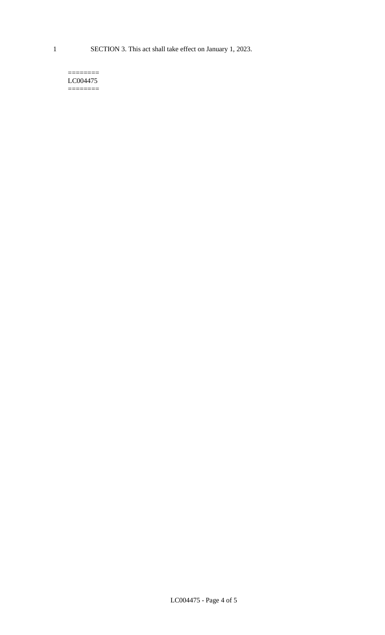1 SECTION 3. This act shall take effect on January 1, 2023.

#### $=$ LC004475 ========